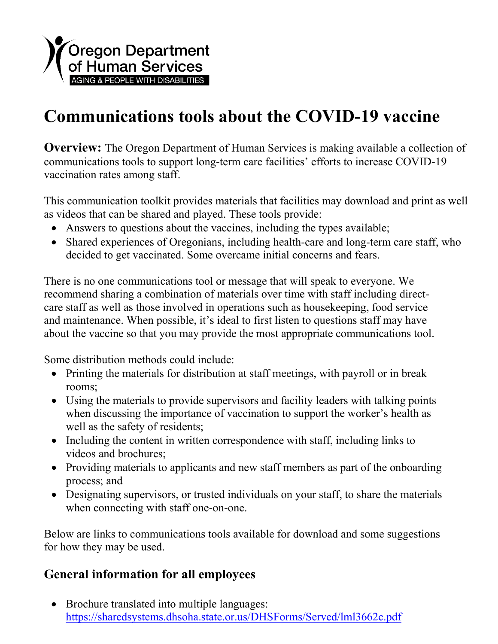

## **Communications tools about the COVID-19 vaccine**

**Overview:** The Oregon Department of Human Services is making available a collection of communications tools to support long-term care facilities' efforts to increase COVID-19 vaccination rates among staff.

This communication toolkit provides materials that facilities may download and print as well as videos that can be shared and played. These tools provide:

- Answers to questions about the vaccines, including the types available;
- Shared experiences of Oregonians, including health-care and long-term care staff, who decided to get vaccinated. Some overcame initial concerns and fears.

There is no one communications tool or message that will speak to everyone. We recommend sharing a combination of materials over time with staff including directcare staff as well as those involved in operations such as housekeeping, food service and maintenance. When possible, it's ideal to first listen to questions staff may have about the vaccine so that you may provide the most appropriate communications tool.

Some distribution methods could include:

- Printing the materials for distribution at staff meetings, with payroll or in break rooms;
- Using the materials to provide supervisors and facility leaders with talking points when discussing the importance of vaccination to support the worker's health as well as the safety of residents;
- Including the content in written correspondence with staff, including links to videos and brochures;
- Providing materials to applicants and new staff members as part of the onboarding process; and
- Designating supervisors, or trusted individuals on your staff, to share the materials when connecting with staff one-on-one.

Below are links to communications tools available for download and some suggestions for how they may be used.

## **General information for all employees**

• Brochure translated into multiple languages: <https://sharedsystems.dhsoha.state.or.us/DHSForms/Served/lml3662c.pdf>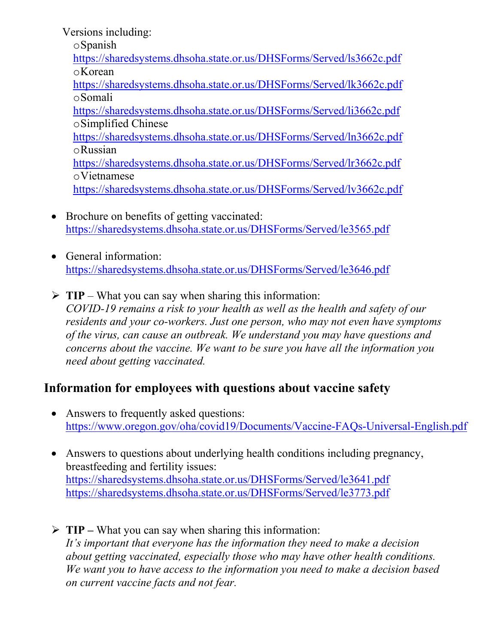Versions including: oSpanish <https://sharedsystems.dhsoha.state.or.us/DHSForms/Served/ls3662c.pdf> oKorean <https://sharedsystems.dhsoha.state.or.us/DHSForms/Served/lk3662c.pdf> oSomali <https://sharedsystems.dhsoha.state.or.us/DHSForms/Served/li3662c.pdf> oSimplified Chinese <https://sharedsystems.dhsoha.state.or.us/DHSForms/Served/ln3662c.pdf> oRussian <https://sharedsystems.dhsoha.state.or.us/DHSForms/Served/lr3662c.pdf> oVietnamese <https://sharedsystems.dhsoha.state.or.us/DHSForms/Served/lv3662c.pdf>

- Brochure on benefits of getting vaccinated: <https://sharedsystems.dhsoha.state.or.us/DHSForms/Served/le3565.pdf>
- General information: <https://sharedsystems.dhsoha.state.or.us/DHSForms/Served/le3646.pdf>
- $\triangleright$  **TIP** What you can say when sharing this information: *COVID-19 remains a risk to your health as well as the health and safety of our residents and your co-workers. Just one person, who may not even have symptoms of the virus, can cause an outbreak. We understand you may have questions and concerns about the vaccine. We want to be sure you have all the information you need about getting vaccinated.*

## **Information for employees with questions about vaccine safety**

- Answers to frequently asked questions: <https://www.oregon.gov/oha/covid19/Documents/Vaccine-FAQs-Universal-English.pdf>
- Answers to questions about underlying health conditions including pregnancy, breastfeeding and fertility issues: <https://sharedsystems.dhsoha.state.or.us/DHSForms/Served/le3641.pdf> <https://sharedsystems.dhsoha.state.or.us/DHSForms/Served/le3773.pdf>
- **TIP –** What you can say when sharing this information: *It's important that everyone has the information they need to make a decision about getting vaccinated, especially those who may have other health conditions. We want you to have access to the information you need to make a decision based on current vaccine facts and not fear.*